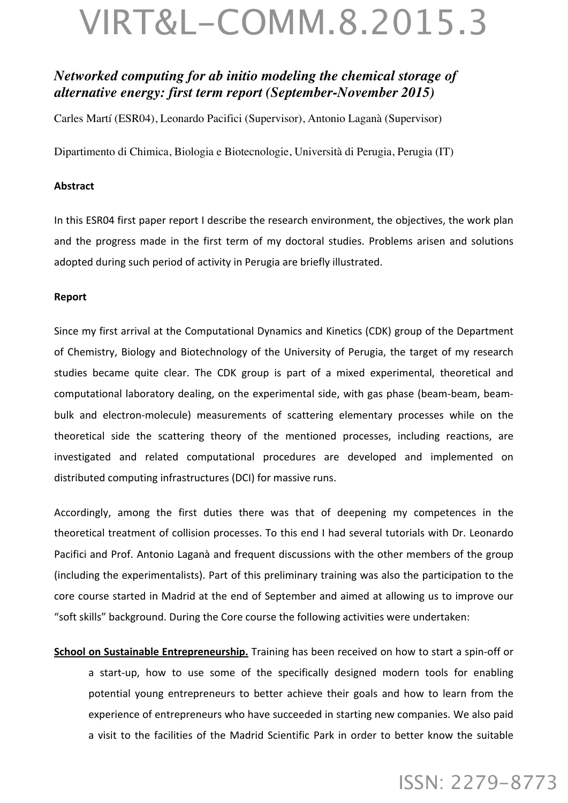### *Networked computing for ab initio modeling the chemical storage of alternative energy: first term report (September-November 2015)*

Carles Martí (ESR04), Leonardo Pacifici (Supervisor), Antonio Laganà (Supervisor)

Dipartimento di Chimica, Biologia e Biotecnologie, Università di Perugia, Perugia (IT)

#### **Abstract**

In this ESR04 first paper report I describe the research environment, the objectives, the work plan and the progress made in the first term of my doctoral studies. Problems arisen and solutions adopted during such period of activity in Perugia are briefly illustrated.

#### **Report**

Since my first arrival at the Computational Dynamics and Kinetics (CDK) group of the Department of Chemistry, Biology and Biotechnology of the University of Perugia, the target of my research studies became quite clear. The CDK group is part of a mixed experimental, theoretical and computational laboratory dealing, on the experimental side, with gas phase (beam-beam, beambulk and electron-molecule) measurements of scattering elementary processes while on the theoretical side the scattering theory of the mentioned processes, including reactions, are investigated and related computational procedures are developed and implemented on distributed computing infrastructures (DCI) for massive runs.

Accordingly, among the first duties there was that of deepening my competences in the theoretical treatment of collision processes. To this end I had several tutorials with Dr. Leonardo Pacifici and Prof. Antonio Laganà and frequent discussions with the other members of the group (including the experimentalists). Part of this preliminary training was also the participation to the core course started in Madrid at the end of September and aimed at allowing us to improve our "soft skills" background. During the Core course the following activities were undertaken:

**School on Sustainable Entrepreneurship.** Training has been received on how to start a spin-off or a start-up, how to use some of the specifically designed modern tools for enabling potential young entrepreneurs to better achieve their goals and how to learn from the experience of entrepreneurs who have succeeded in starting new companies. We also paid a visit to the facilities of the Madrid Scientific Park in order to better know the suitable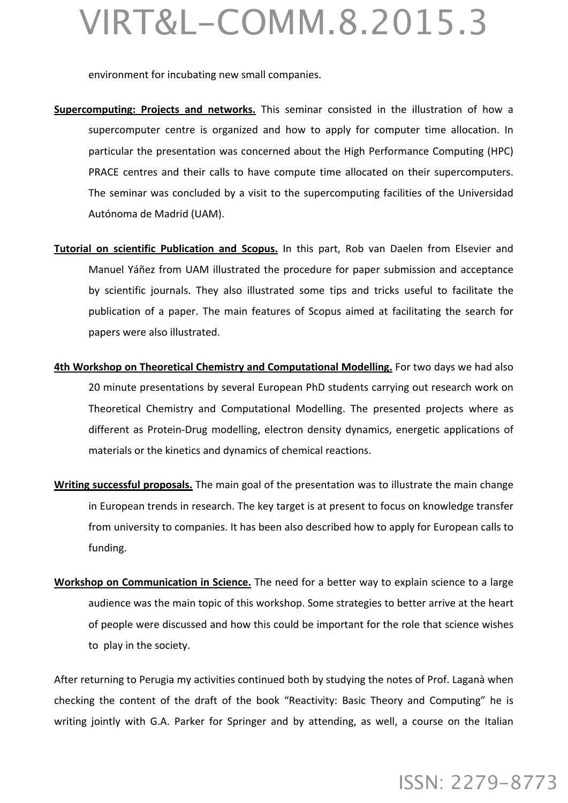environment for incubating new small companies.

- **Supercomputing: Projects and networks.** This seminar consisted in the illustration of how a supercomputer centre is organized and how to apply for computer time allocation. In particular the presentation was concerned about the High Performance Computing (HPC) PRACE centres and their calls to have compute time allocated on their supercomputers. The seminar was concluded by a visit to the supercomputing facilities of the Universidad Autónoma de Madrid (UAM).
- Tutorial on scientific Publication and Scopus. In this part, Rob van Daelen from Elsevier and Manuel Yáñez from UAM illustrated the procedure for paper submission and acceptance by scientific journals. They also illustrated some tips and tricks useful to facilitate the publication of a paper. The main features of Scopus aimed at facilitating the search for papers were also illustrated.
- **4th Workshop on Theoretical Chemistry and Computational Modelling.** For two days we had also 20 minute presentations by several European PhD students carrying out research work on Theoretical Chemistry and Computational Modelling. The presented projects where as different as Protein-Drug modelling, electron density dynamics, energetic applications of materials or the kinetics and dynamics of chemical reactions.
- **Writing successful proposals.** The main goal of the presentation was to illustrate the main change in European trends in research. The key target is at present to focus on knowledge transfer from university to companies. It has been also described how to apply for European calls to funding.
- Workshop on Communication in Science. The need for a better way to explain science to a large audience was the main topic of this workshop. Some strategies to better arrive at the heart of people were discussed and how this could be important for the role that science wishes to play in the society.

After returning to Perugia my activities continued both by studying the notes of Prof. Laganà when checking the content of the draft of the book "Reactivity: Basic Theory and Computing" he is writing jointly with G.A. Parker for Springer and by attending, as well, a course on the Italian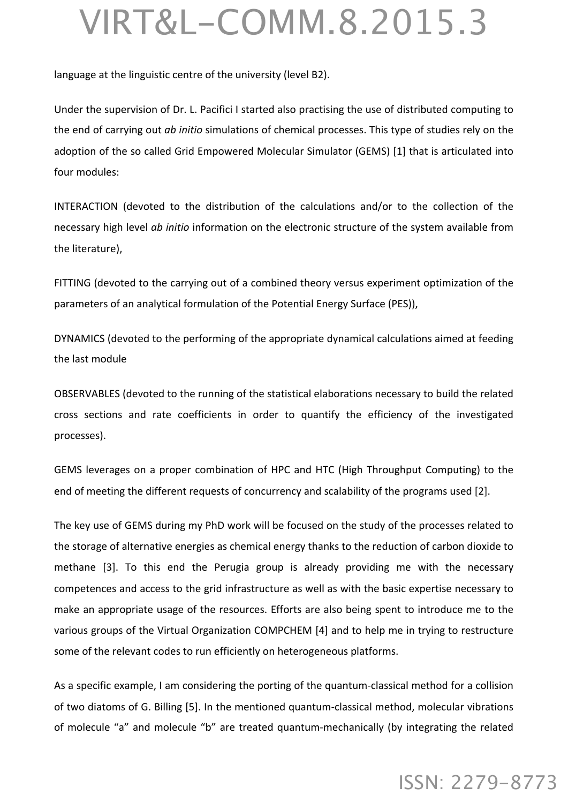language at the linguistic centre of the university (level B2).

Under the supervision of Dr. L. Pacifici I started also practising the use of distributed computing to the end of carrying out *ab initio* simulations of chemical processes. This type of studies rely on the adoption of the so called Grid Empowered Molecular Simulator (GEMS) [1] that is articulated into four modules:

INTERACTION (devoted to the distribution of the calculations and/or to the collection of the necessary high level *ab initio* information on the electronic structure of the system available from the literature),

FITTING (devoted to the carrying out of a combined theory versus experiment optimization of the parameters of an analytical formulation of the Potential Energy Surface (PES)),

DYNAMICS (devoted to the performing of the appropriate dynamical calculations aimed at feeding the last module

OBSERVABLES (devoted to the running of the statistical elaborations necessary to build the related cross sections and rate coefficients in order to quantify the efficiency of the investigated processes).

GEMS leverages on a proper combination of HPC and HTC (High Throughput Computing) to the end of meeting the different requests of concurrency and scalability of the programs used [2].

The key use of GEMS during my PhD work will be focused on the study of the processes related to the storage of alternative energies as chemical energy thanks to the reduction of carbon dioxide to methane [3]. To this end the Perugia group is already providing me with the necessary competences and access to the grid infrastructure as well as with the basic expertise necessary to make an appropriate usage of the resources. Efforts are also being spent to introduce me to the various groups of the Virtual Organization COMPCHEM [4] and to help me in trying to restructure some of the relevant codes to run efficiently on heterogeneous platforms.

As a specific example, I am considering the porting of the quantum-classical method for a collision of two diatoms of G. Billing [5]. In the mentioned quantum-classical method, molecular vibrations of molecule "a" and molecule "b" are treated quantum-mechanically (by integrating the related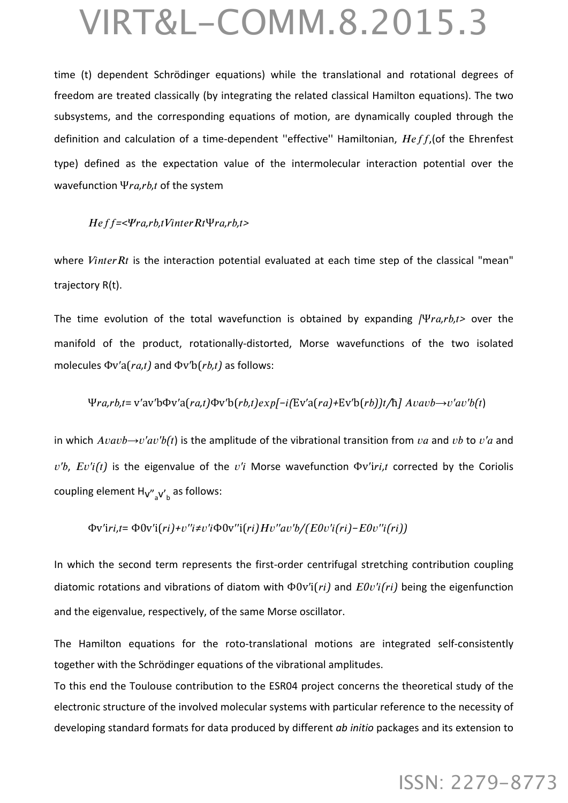time (t) dependent Schrödinger equations) while the translational and rotational degrees of freedom are treated classically (by integrating the related classical Hamilton equations). The two subsystems, and the corresponding equations of motion, are dynamically coupled through the definition and calculation of a time-dependent "effective" Hamiltonian, *Heff*, (of the Ehrenfest type) defined as the expectation value of the intermolecular interaction potential over the wavefunction Ψra, rb,t of the system

#### $Heff = a,*rb*,*tVinterRtΨra,rb*,*t*$

where *Vinter Rt* is the interaction potential evaluated at each time step of the classical "mean" trajectory R(t).

The time evolution of the total wavefunction is obtained by expanding /Ψ*ra,rb,t>* over the manifold of the product, rotationally-distorted, Morse wavefunctions of the two isolated molecules Φv'a(*ra,t*) and Φv'b(*rb,t*) as follows:

#### $\Psi ra, rb, t = v'av'b\Phi v'a-ra, t)\Phi v'b(rb, t)exp[-i(Ev'a-ra)+Ev'b(rb)]t/\hbar] A vavb \rightarrow v'av'b(t)$

in which  $A\nu a\nu b \rightarrow v'a\nu'b(t)$  is the amplitude of the vibrational transition from  $va$  and  $vb$  to  $v'a$  and  $v'b$ ,  $Ev'i(t)$  is the eigenvalue of the  $v'i$  Morse wavefunction  $\Phi v'$ *iri*,*t* corrected by the Coriolis coupling element H<sub>V"<sub>a</sub>V'<sub>b</sub> as follows:</sub>

 $\Phi$ v'iri,t= $\Phi$ 0v'i(ri)+v''i≠v'i $\Phi$ 0v''i(ri)Hv''av'b/(E0v'i(ri)-E0v''i(ri))

In which the second term represents the first-order centrifugal stretching contribution coupling diatomic rotations and vibrations of diatom with Φ0v′i(*𝑟𝑖)* and *𝐸0𝑣′𝑖(𝑟𝑖)* being the eigenfunction and the eigenvalue, respectively, of the same Morse oscillator.

The Hamilton equations for the roto-translational motions are integrated self-consistently together with the Schrödinger equations of the vibrational amplitudes.

To this end the Toulouse contribution to the ESR04 project concerns the theoretical study of the electronic structure of the involved molecular systems with particular reference to the necessity of developing standard formats for data produced by different *ab initio* packages and its extension to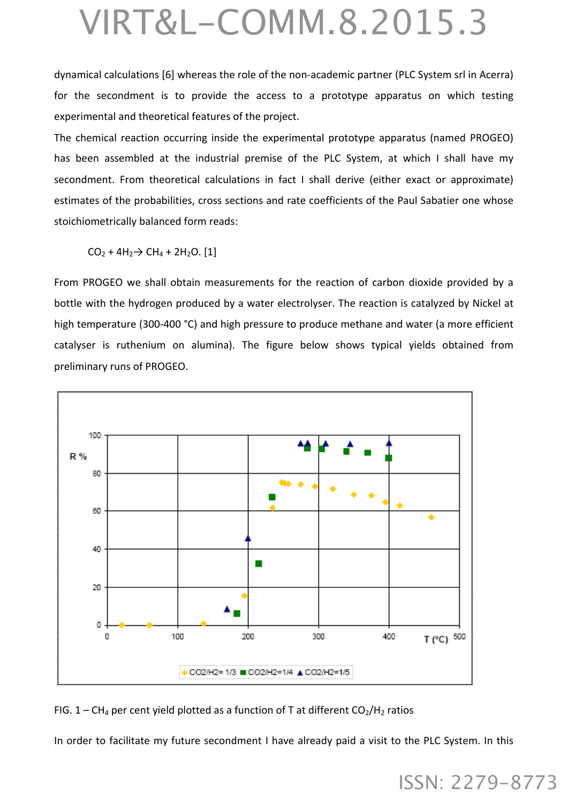dynamical calculations [6] whereas the role of the non-academic partner (PLC System srl in Acerra) for the secondment is to provide the access to a prototype apparatus on which testing experimental and theoretical features of the project.

The chemical reaction occurring inside the experimental prototype apparatus (named PROGEO) has been assembled at the industrial premise of the PLC System, at which I shall have my secondment. From theoretical calculations in fact I shall derive (either exact or approximate) estimates of the probabilities, cross sections and rate coefficients of the Paul Sabatier one whose stoichiometrically balanced form reads:

 $CO_2 + 4H_2 \rightarrow CH_4 + 2H_2O$ . [1]

From PROGEO we shall obtain measurements for the reaction of carbon dioxide provided by a bottle with the hydrogen produced by a water electrolyser. The reaction is catalyzed by Nickel at high temperature (300-400 °C) and high pressure to produce methane and water (a more efficient catalyser is ruthenium on alumina). The figure below shows typical yields obtained from preliminary runs of PROGEO.



FIG. 1 – CH<sub>4</sub> per cent yield plotted as a function of T at different  $CO_2/H_2$  ratios

In order to facilitate my future secondment I have already paid a visit to the PLC System. In this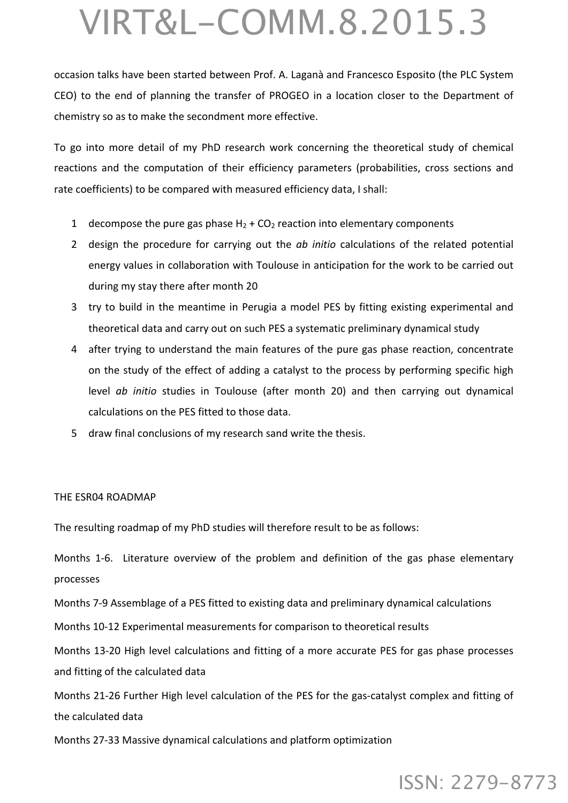occasion talks have been started between Prof. A. Laganà and Francesco Esposito (the PLC System CEO) to the end of planning the transfer of PROGEO in a location closer to the Department of chemistry so as to make the secondment more effective.

To go into more detail of my PhD research work concerning the theoretical study of chemical reactions and the computation of their efficiency parameters (probabilities, cross sections and rate coefficients) to be compared with measured efficiency data, I shall:

- 1 decompose the pure gas phase  $H_2$  + CO<sub>2</sub> reaction into elementary components
- 2 design the procedure for carrying out the *ab initio* calculations of the related potential energy values in collaboration with Toulouse in anticipation for the work to be carried out during my stay there after month 20
- 3 try to build in the meantime in Perugia a model PES by fitting existing experimental and theoretical data and carry out on such PES a systematic preliminary dynamical study
- 4 after trying to understand the main features of the pure gas phase reaction, concentrate on the study of the effect of adding a catalyst to the process by performing specific high level *ab initio* studies in Toulouse (after month 20) and then carrying out dynamical calculations on the PES fitted to those data.
- 5 draw final conclusions of my research sand write the thesis.

#### THE ESR04 ROADMAP

The resulting roadmap of my PhD studies will therefore result to be as follows:

Months 1-6. Literature overview of the problem and definition of the gas phase elementary processes

Months 7-9 Assemblage of a PES fitted to existing data and preliminary dynamical calculations

Months 10-12 Experimental measurements for comparison to theoretical results

Months 13-20 High level calculations and fitting of a more accurate PES for gas phase processes and fitting of the calculated data

Months 21-26 Further High level calculation of the PES for the gas-catalyst complex and fitting of the calculated data

Months 27-33 Massive dynamical calculations and platform optimization